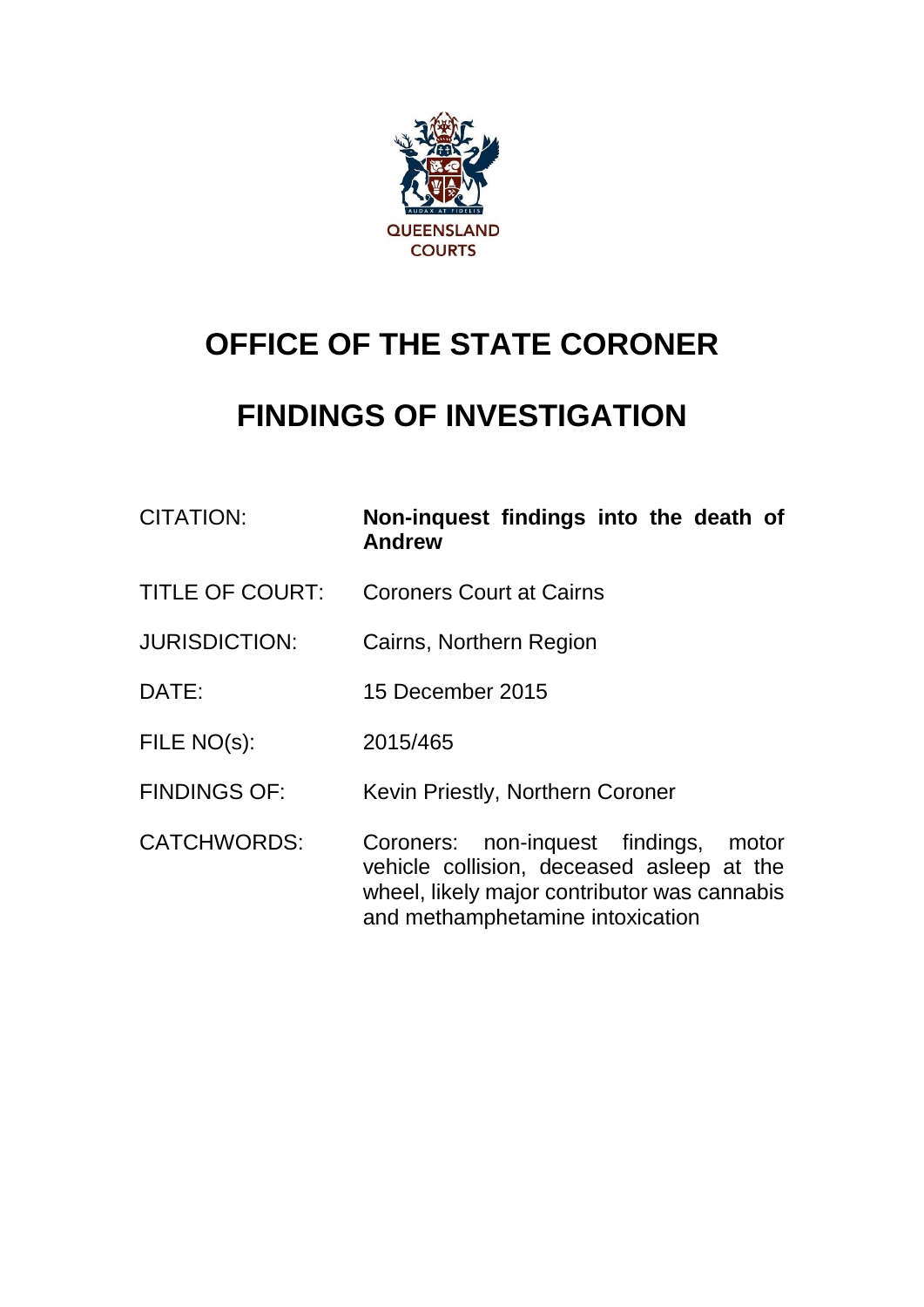

# **OFFICE OF THE STATE CORONER**

# **FINDINGS OF INVESTIGATION**

| <b>CITATION:</b>       | Non-inquest findings into the death of<br><b>Andrew</b>                                                                                                                   |
|------------------------|---------------------------------------------------------------------------------------------------------------------------------------------------------------------------|
| <b>TITLE OF COURT:</b> | <b>Coroners Court at Cairns</b>                                                                                                                                           |
| <b>JURISDICTION:</b>   | Cairns, Northern Region                                                                                                                                                   |
| DATE:                  | 15 December 2015                                                                                                                                                          |
| FILE NO(s):            | 2015/465                                                                                                                                                                  |
| <b>FINDINGS OF:</b>    | Kevin Priestly, Northern Coroner                                                                                                                                          |
| <b>CATCHWORDS:</b>     | Coroners: non-inquest findings,<br>motor<br>vehicle collision, deceased asleep at the<br>wheel, likely major contributor was cannabis<br>and methamphetamine intoxication |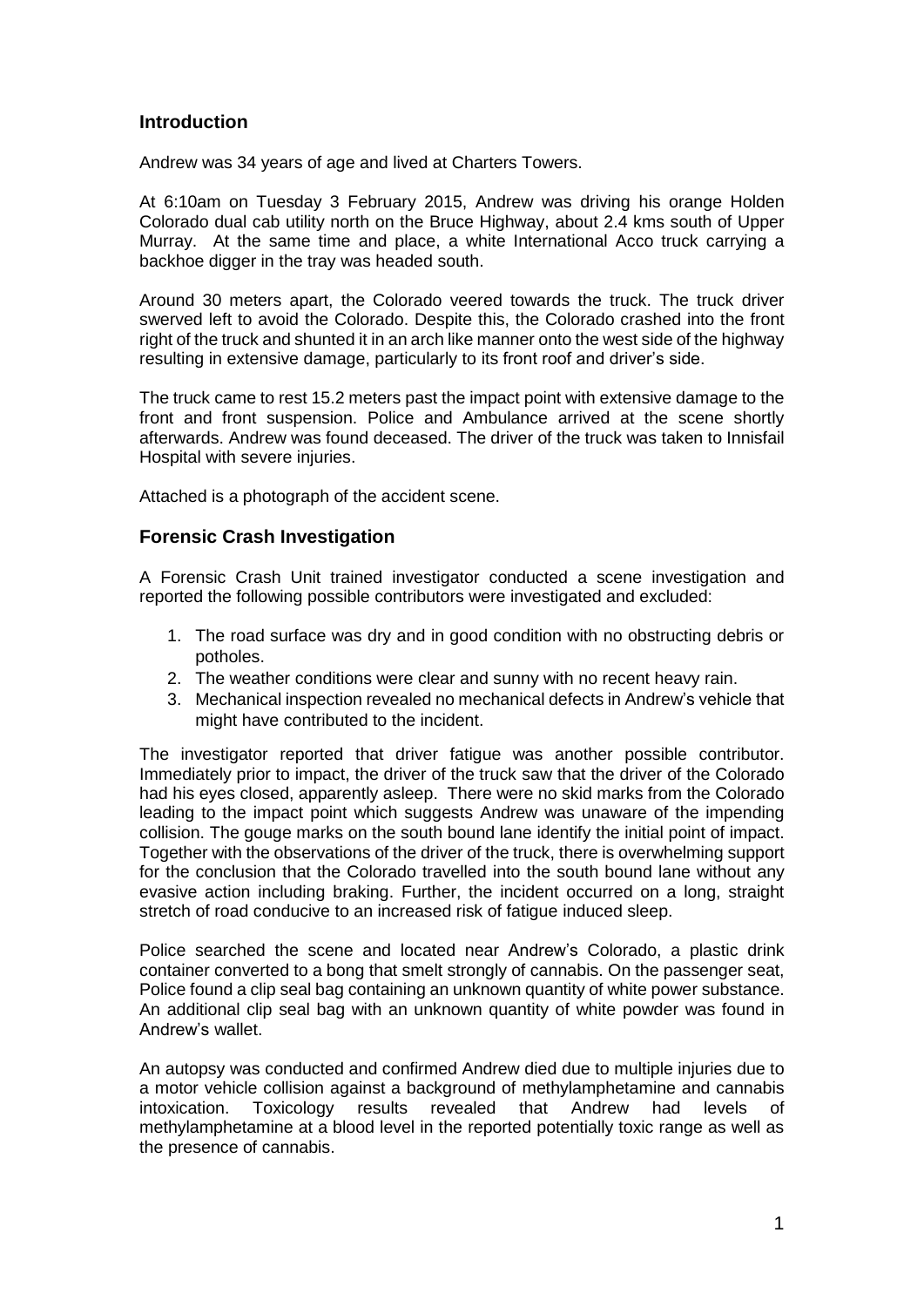### **Introduction**

Andrew was 34 years of age and lived at Charters Towers.

At 6:10am on Tuesday 3 February 2015, Andrew was driving his orange Holden Colorado dual cab utility north on the Bruce Highway, about 2.4 kms south of Upper Murray. At the same time and place, a white International Acco truck carrying a backhoe digger in the tray was headed south.

Around 30 meters apart, the Colorado veered towards the truck. The truck driver swerved left to avoid the Colorado. Despite this, the Colorado crashed into the front right of the truck and shunted it in an arch like manner onto the west side of the highway resulting in extensive damage, particularly to its front roof and driver's side.

The truck came to rest 15.2 meters past the impact point with extensive damage to the front and front suspension. Police and Ambulance arrived at the scene shortly afterwards. Andrew was found deceased. The driver of the truck was taken to Innisfail Hospital with severe injuries.

Attached is a photograph of the accident scene.

#### **Forensic Crash Investigation**

A Forensic Crash Unit trained investigator conducted a scene investigation and reported the following possible contributors were investigated and excluded:

- 1. The road surface was dry and in good condition with no obstructing debris or potholes.
- 2. The weather conditions were clear and sunny with no recent heavy rain.
- 3. Mechanical inspection revealed no mechanical defects in Andrew's vehicle that might have contributed to the incident.

The investigator reported that driver fatigue was another possible contributor. Immediately prior to impact, the driver of the truck saw that the driver of the Colorado had his eyes closed, apparently asleep. There were no skid marks from the Colorado leading to the impact point which suggests Andrew was unaware of the impending collision. The gouge marks on the south bound lane identify the initial point of impact. Together with the observations of the driver of the truck, there is overwhelming support for the conclusion that the Colorado travelled into the south bound lane without any evasive action including braking. Further, the incident occurred on a long, straight stretch of road conducive to an increased risk of fatigue induced sleep.

Police searched the scene and located near Andrew's Colorado, a plastic drink container converted to a bong that smelt strongly of cannabis. On the passenger seat, Police found a clip seal bag containing an unknown quantity of white power substance. An additional clip seal bag with an unknown quantity of white powder was found in Andrew's wallet.

An autopsy was conducted and confirmed Andrew died due to multiple injuries due to a motor vehicle collision against a background of methylamphetamine and cannabis intoxication. Toxicology results revealed that Andrew had levels of methylamphetamine at a blood level in the reported potentially toxic range as well as the presence of cannabis.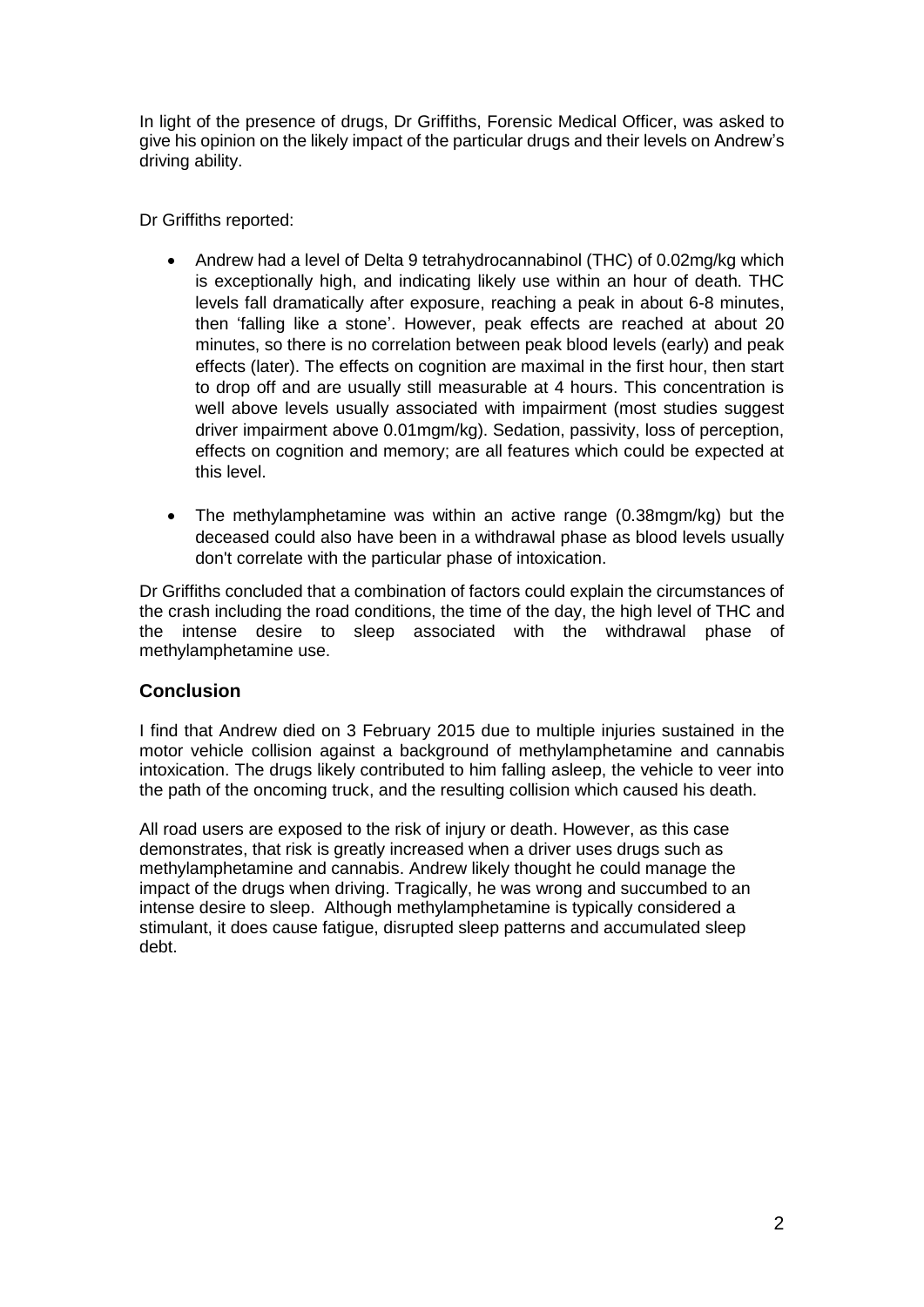In light of the presence of drugs, Dr Griffiths, Forensic Medical Officer, was asked to give his opinion on the likely impact of the particular drugs and their levels on Andrew's driving ability.

Dr Griffiths reported:

- Andrew had a level of Delta 9 tetrahydrocannabinol (THC) of 0.02mg/kg which is exceptionally high, and indicating likely use within an hour of death. THC levels fall dramatically after exposure, reaching a peak in about 6-8 minutes, then 'falling like a stone'. However, peak effects are reached at about 20 minutes, so there is no correlation between peak blood levels (early) and peak effects (later). The effects on cognition are maximal in the first hour, then start to drop off and are usually still measurable at 4 hours. This concentration is well above levels usually associated with impairment (most studies suggest driver impairment above 0.01mgm/kg). Sedation, passivity, loss of perception, effects on cognition and memory; are all features which could be expected at this level.
- The methylamphetamine was within an active range (0.38mgm/kg) but the deceased could also have been in a withdrawal phase as blood levels usually don't correlate with the particular phase of intoxication.

Dr Griffiths concluded that a combination of factors could explain the circumstances of the crash including the road conditions, the time of the day, the high level of THC and the intense desire to sleep associated with the withdrawal phase of methylamphetamine use.

## **Conclusion**

I find that Andrew died on 3 February 2015 due to multiple injuries sustained in the motor vehicle collision against a background of methylamphetamine and cannabis intoxication. The drugs likely contributed to him falling asleep, the vehicle to veer into the path of the oncoming truck, and the resulting collision which caused his death.

All road users are exposed to the risk of injury or death. However, as this case demonstrates, that risk is greatly increased when a driver uses drugs such as methylamphetamine and cannabis. Andrew likely thought he could manage the impact of the drugs when driving. Tragically, he was wrong and succumbed to an intense desire to sleep. Although methylamphetamine is typically considered a stimulant, it does cause fatigue, disrupted sleep patterns and accumulated sleep debt.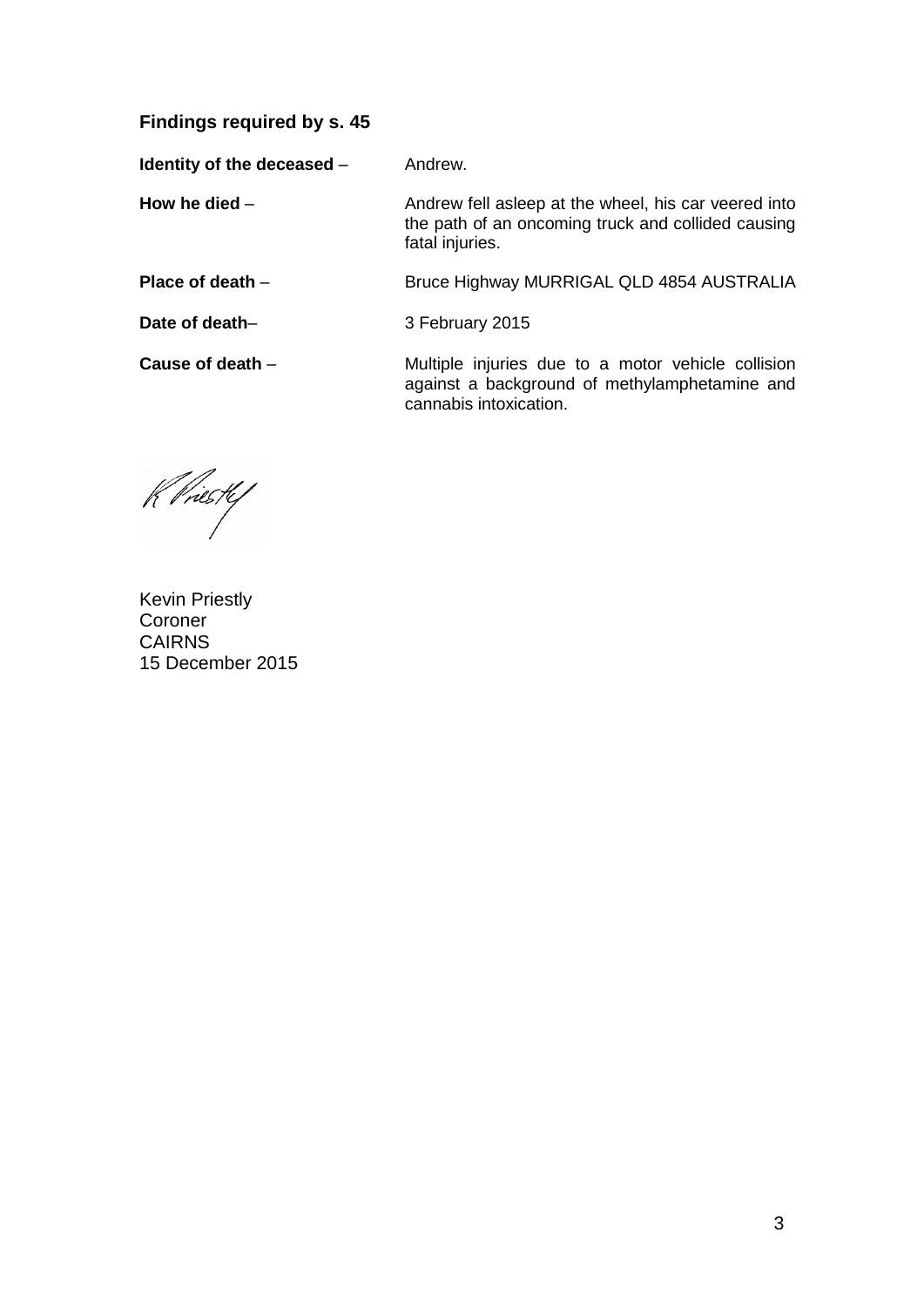### **Findings required by s. 45**

**Identity of the deceased – Andrew.** 

**How he died** – **Andrew fell asleep at the wheel, his car veered into** the path of an oncoming truck and collided causing fatal injuries.

**Place of death** – Bruce Highway MURRIGAL QLD 4854 AUSTRALIA

**Date of death–** 3 February 2015

**Cause of death** – **Multiple injuries due to a motor vehicle collision** against a background of methylamphetamine and cannabis intoxication.

K Priestef

Kevin Priestly Coroner CAIRNS 15 December 2015